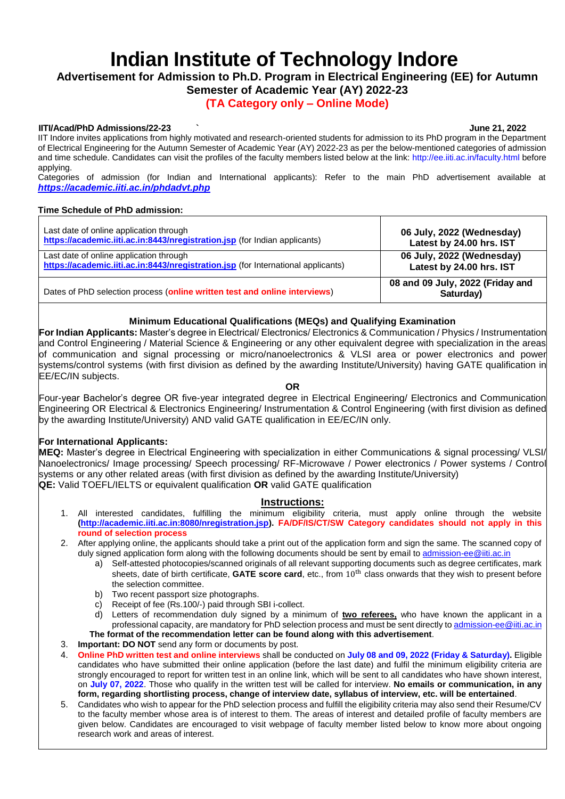# **Indian Institute of Technology Indore**

# **Advertisement for Admission to Ph.D. Program in Electrical Engineering (EE) for Autumn Semester of Academic Year (AY) 2022-23**

# **(TA Category only – Online Mode)**

## **IITI/Acad/PhD Admissions/22-23 ` June 21, 2022**

IIT Indore invites applications from highly motivated and research-oriented students for admission to its PhD program in the Department of Electrical Engineering for the Autumn Semester of Academic Year (AY) 2022-23 as per the below-mentioned categories of admission and time schedule. Candidates can visit the profiles of the faculty members listed below at the link: [http://ee.iiti.ac.in/faculty.html b](http://ee.iiti.ac.in/faculty.html)efore applying.

Categories of admission (for Indian and International applicants): Refer to the main PhD advertisement available at *<https://academic.iiti.ac.in/phdadvt.php>*

### **Time Schedule of PhD admission:**

| Last date of online application through                                           | 06 July, 2022 (Wednesday)                     |
|-----------------------------------------------------------------------------------|-----------------------------------------------|
| https://academic.iiti.ac.in:8443/nregistration.jsp (for Indian applicants)        | Latest by 24.00 hrs. IST                      |
| Last date of online application through                                           | 06 July, 2022 (Wednesday)                     |
| https://academic.iiti.ac.in:8443/nregistration.jsp (for International applicants) | Latest by 24.00 hrs. IST                      |
| Dates of PhD selection process (online written test and online interviews)        | 08 and 09 July, 2022 (Friday and<br>Saturday) |

# **Minimum Educational Qualifications (MEQs) and Qualifying Examination**

**For Indian Applicants:** Master's degree in Electrical/ Electronics/ Electronics & Communication / Physics / Instrumentation and Control Engineering / Material Science & Engineering or any other equivalent degree with specialization in the areas of communication and signal processing or micro/nanoelectronics & VLSI area or power electronics and power systems/control systems (with first division as defined by the awarding Institute/University) having GATE qualification in EE/EC/IN subjects.

**OR**

Four-year Bachelor's degree OR five-year integrated degree in Electrical Engineering/ Electronics and Communication Engineering OR Electrical & Electronics Engineering/ Instrumentation & Control Engineering (with first division as defined by the awarding Institute/University) AND valid GATE qualification in EE/EC/IN only.

# **For International Applicants:**

**MEQ:** Master's degree in Electrical Engineering with specialization in either Communications & signal processing/ VLSI/ Nanoelectronics/ Image processing/ Speech processing/ RF-Microwave / Power electronics / Power systems / Control systems or any other related areas (with first division as defined by the awarding Institute/University) **QE:** Valid TOEFL/IELTS or equivalent qualification **OR** valid GATE qualification

## **Instructions:**

- 1. All interested candidates, fulfilling the minimum eligibility criteria, must apply online through the website **[\(http://academic.iiti.ac.in:8080/nregistration.jsp\)](http://academic.iiti.ac.in:8080/nregistration.jsp). FA/DF/IS/CT/SW Category candidates should not apply in this round of selection process**
- 2. After applying online, the applicants should take a print out of the application form and sign the same. The scanned copy of duly signed application form along with the following documents should be sent by email to [admission-ee@iiti.ac.in](mailto:admission-ee@iiti.ac.in)
	- a) Self-attested photocopies/scanned originals of all relevant supporting documents such as degree certificates, mark sheets, date of birth certificate, GATE score card, etc., from 10<sup>th</sup> class onwards that they wish to present before the selection committee.
	- b) Two recent passport size photographs.
	- c) Receipt of fee (Rs.100/-) paid through SBI i-collect.
	- d) Letters of recommendation duly signed by a minimum of **two referees,** who have known the applicant in a professional capacity, are mandatory for PhD selection process and must be sent directly t[o admission-ee@iiti.ac.in](mailto:admission-ee@iiti.ac.in) **The format of the recommendation letter can be found along with this advertisement**.

3. **Important: DO NOT** send any form or documents by post.

- 4. **Online PhD written test and online interviews** shall be conducted on **July 08 and 09, 2022 (Friday & Saturday).** Eligible candidates who have submitted their online application (before the last date) and fulfil the minimum eligibility criteria are strongly encouraged to report for written test in an online link, which will be sent to all candidates who have shown interest, on **July 07, 2022**. Those who qualify in the written test will be called for interview. **No emails or communication, in any form, regarding shortlisting process, change of interview date, syllabus of interview, etc. will be entertained**.
- 5. Candidates who wish to appear for the PhD selection process and fulfill the eligibility criteria may also send their Resume/CV to the faculty member whose area is of interest to them. The areas of interest and detailed profile of faculty members are given below. Candidates are encouraged to visit webpage of faculty member listed below to know more about ongoing research work and areas of interest.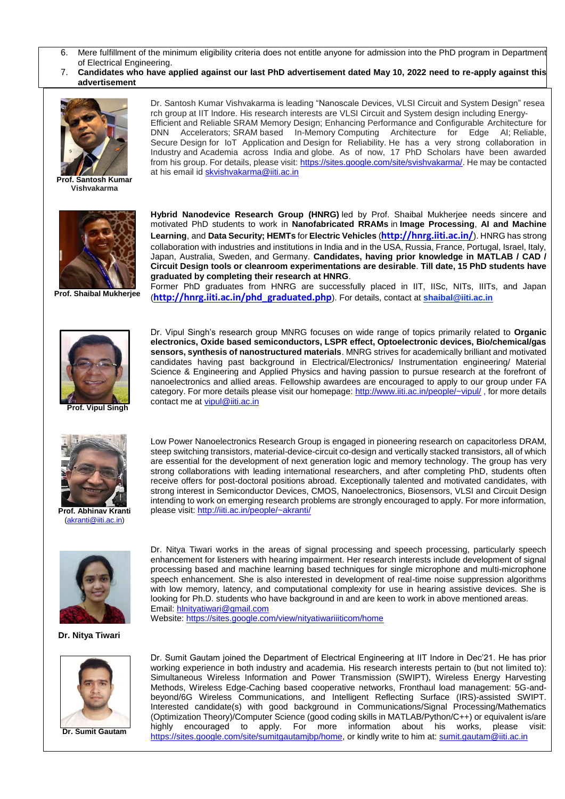- 6. Mere fulfillment of the minimum eligibility criteria does not entitle anyone for admission into the PhD program in Department of Electrical Engineering.
- 7. **Candidates who have applied against our last PhD advertisement dated May 10, 2022 need to re-apply against this advertisement**



**Prof. Santosh Kumar Vishvakarma**



**Prof. Shaibal Mukherjee**

DNN Accelerators; SRAM based In-Memory Computing Architecture for Edge AI; Reliable, Secure Design for IoT Application and Design for Reliability. He has a very strong collaboration in Industry and Academia across India and globe. As of now, 17 PhD Scholars have been awarded from his group. For details, please visit: [https://sites.google.com/site/svishvakarma/.](https://sites.google.com/site/svishvakarma/) He may be contacted at his email id [skvishvakarma@iiti.ac.in](mailto:skvishvakarma@iiti.ac.in)

Dr. Santosh Kumar Vishvakarma is leading "Nanoscale Devices, VLSI Circuit and System Design" resea rch group at IIT Indore. His research interests are VLSI Circuit and System design including Energy-Efficient and Reliable SRAM Memory Design; Enhancing Performance and Configurable Architecture for

**Hybrid Nanodevice Research Group (HNRG)** led by Prof. Shaibal Mukherjee needs sincere and motivated PhD students to work in **Nanofabricated RRAMs** in **Image Processing**, **AI and Machine Learning**, and **Data Security; HEMTs** for **Electric Vehicles** (**<http://hnrg.iiti.ac.in/>**). HNRG has strong collaboration with industries and institutions in India and in the USA, Russia, France, Portugal, Israel, Italy, Japan, Australia, Sweden, and Germany. **Candidates, having prior knowledge in MATLAB / CAD / Circuit Design tools or cleanroom experimentations are desirable**. **Till date, 15 PhD students have graduated by completing their research at HNRG**.

Former PhD graduates from HNRG are successfully placed in IIT, IISc, NITs, IIITs, and Japan (**[http://hnrg.iiti.ac.in/phd\\_graduated.php](http://hnrg.iiti.ac.in/phd_graduated.php)**). For details, contact at **[shaibal@iiti.ac.in](mailto:shaibal@iiti.ac.in)**



Dr. Vipul Singh's research group MNRG focuses on wide range of topics primarily related to **Organic electronics, Oxide based semiconductors, LSPR effect, Optoelectronic devices, Bio/chemical/gas sensors, synthesis of nanostructured materials**. MNRG strives for academically brilliant and motivated candidates having past background in Electrical/Electronics/ Instrumentation engineering/ Material Science & Engineering and Applied Physics and having passion to pursue research at the forefront of nanoelectronics and allied areas. Fellowship awardees are encouraged to apply to our group under FA category. For more details please visit our homepage[: http://www.iiti.ac.in/people/~vipul/](http://iiti.ac.in/people/~vipul/) , for more details contact me at [vipul@iiti.ac.in](mailto:vipul@iiti.ac.in)



**Prof. Abhinav Kranti** [\(akranti@iiti.ac.in\)](mailto:akranti@iiti.ac.in)

Low Power Nanoelectronics Research Group is engaged in pioneering research on capacitorless DRAM, steep switching transistors, material-device-circuit co-design and vertically stacked transistors, all of which are essential for the development of next generation logic and memory technology. The group has very strong collaborations with leading international researchers, and after completing PhD, students often receive offers for post-doctoral positions abroad. Exceptionally talented and motivated candidates, with strong interest in Semiconductor Devices, CMOS, Nanoelectronics, Biosensors, VLSI and Circuit Design intending to work on emerging research problems are strongly encouraged to apply. For more information, please visit:<http://iiti.ac.in/people/~akranti/>

Dr. Nitya Tiwari works in the areas of signal processing and speech processing, particularly speech



enhancement for listeners with hearing impairment. Her research interests include development of signal processing based and machine learning based techniques for single microphone and multi-microphone speech enhancement. She is also interested in development of real-time noise suppression algorithms with low memory, latency, and computational complexity for use in hearing assistive devices. She is looking for Ph.D. students who have background in and are keen to work in above mentioned areas. Email: [hlnityatiwari@gmail.com](mailto:hlnityatiwari@gmail.com) Website:<https://sites.google.com/view/nityatiwariiiticom/home>

 **Dr. Nitya Tiwari**



**Dr. Sumit Gautam**

Dr. Sumit Gautam joined the Department of Electrical Engineering at IIT Indore in Dec'21. He has prior working experience in both industry and academia. His research interests pertain to (but not limited to): Simultaneous Wireless Information and Power Transmission (SWIPT), Wireless Energy Harvesting Methods, Wireless Edge-Caching based cooperative networks, Fronthaul load management: 5G-andbeyond/6G Wireless Communications, and Intelligent Reflecting Surface (IRS)-assisted SWIPT. Interested candidate(s) with good background in Communications/Signal Processing/Mathematics (Optimization Theory)/Computer Science (good coding skills in MATLAB/Python/C++) or equivalent is/are highly encouraged to apply. For more information about his works, please visit: [https://sites.google.com/site/sumitgautamjbp/home,](https://sites.google.com/site/sumitgautamjbp/home) or kindly write to him at: [sumit.gautam@iiti.ac.in](mailto:sumit.gautam@iiti.ac.in)